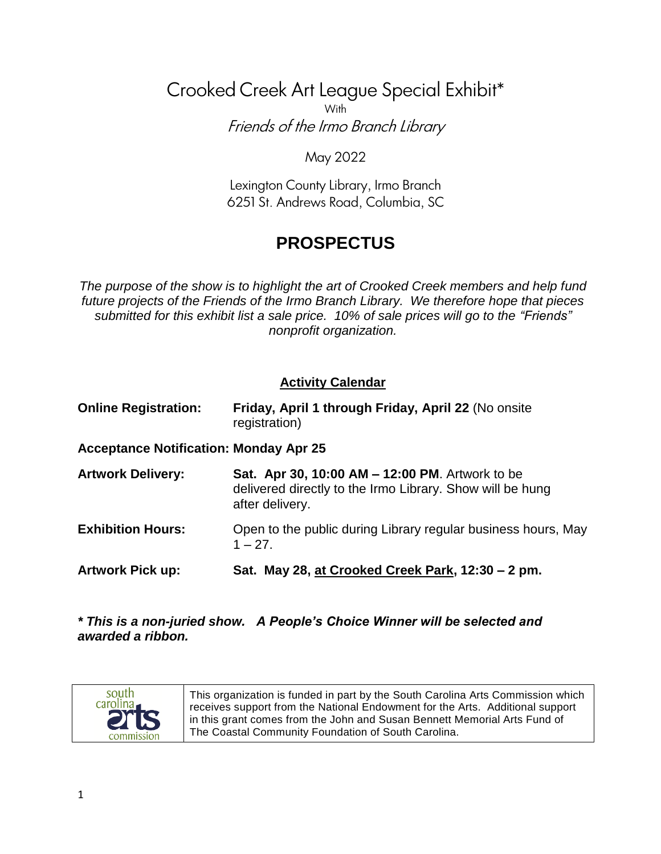# Crooked Creek Art League Special Exhibit\* With Friends of the Irmo Branch Library

#### May 2022

Lexington County Library, Irmo Branch 6251 St. Andrews Road, Columbia, SC

# **PROSPECTUS**

*The purpose of the show is to highlight the art of Crooked Creek members and help fund future projects of the Friends of the Irmo Branch Library. We therefore hope that pieces submitted for this exhibit list a sale price. 10% of sale prices will go to the "Friends" nonprofit organization.*

#### **Activity Calendar**

| <b>Online Registration:</b>                   | Friday, April 1 through Friday, April 22 (No onsite<br>registration)                                                            |  |  |
|-----------------------------------------------|---------------------------------------------------------------------------------------------------------------------------------|--|--|
| <b>Acceptance Notification: Monday Apr 25</b> |                                                                                                                                 |  |  |
| <b>Artwork Delivery:</b>                      | Sat. Apr 30, 10:00 AM - 12:00 PM. Artwork to be<br>delivered directly to the Irmo Library. Show will be hung<br>after delivery. |  |  |
| <b>Exhibition Hours:</b>                      | Open to the public during Library regular business hours, May<br>$1 - 27$                                                       |  |  |
| <b>Artwork Pick up:</b>                       | Sat. May 28, at Crooked Creek Park, 12:30 – 2 pm.                                                                               |  |  |

*\* This is a non-juried show. A People's Choice Winner will be selected and awarded a ribbon.*



This organization is funded in part by the South Carolina Arts Commission which receives support from the National Endowment for the Arts. Additional support in this grant comes from the John and Susan Bennett Memorial Arts Fund of The Coastal Community Foundation of South Carolina.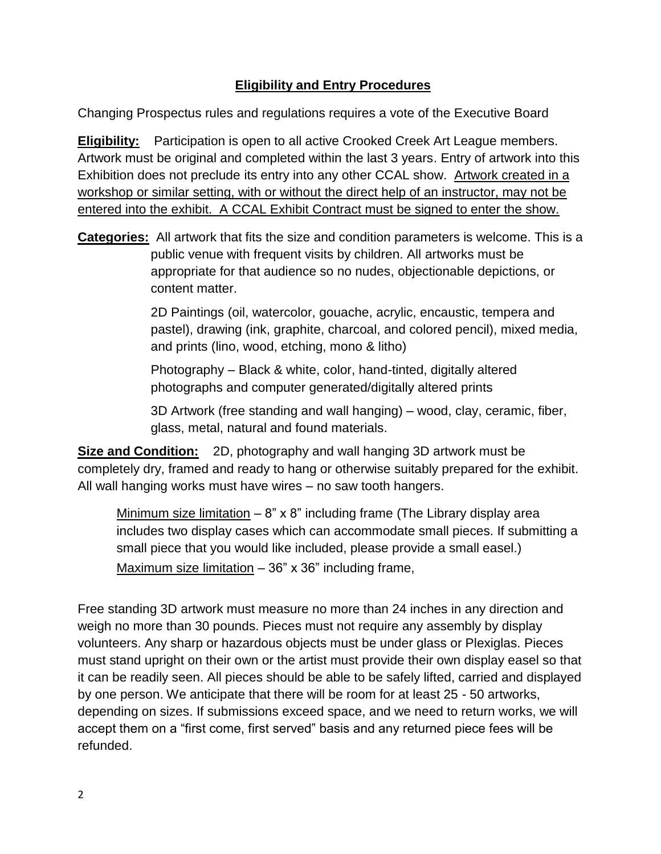#### **Eligibility and Entry Procedures**

Changing Prospectus rules and regulations requires a vote of the Executive Board

**Eligibility:** Participation is open to all active Crooked Creek Art League members. Artwork must be original and completed within the last 3 years. Entry of artwork into this Exhibition does not preclude its entry into any other CCAL show. Artwork created in a workshop or similar setting, with or without the direct help of an instructor, may not be entered into the exhibit. A CCAL Exhibit Contract must be signed to enter the show.

**Categories:** All artwork that fits the size and condition parameters is welcome. This is a public venue with frequent visits by children. All artworks must be appropriate for that audience so no nudes, objectionable depictions, or content matter.

> 2D Paintings (oil, watercolor, gouache, acrylic, encaustic, tempera and pastel), drawing (ink, graphite, charcoal, and colored pencil), mixed media, and prints (lino, wood, etching, mono & litho)

Photography – Black & white, color, hand-tinted, digitally altered photographs and computer generated/digitally altered prints

3D Artwork (free standing and wall hanging) – wood, clay, ceramic, fiber, glass, metal, natural and found materials.

**Size and Condition:** 2D, photography and wall hanging 3D artwork must be completely dry, framed and ready to hang or otherwise suitably prepared for the exhibit. All wall hanging works must have wires – no saw tooth hangers.

Minimum size limitation  $-8$ " x 8" including frame (The Library display area includes two display cases which can accommodate small pieces. If submitting a small piece that you would like included, please provide a small easel.) Maximum size limitation  $-36$ " x 36" including frame,

Free standing 3D artwork must measure no more than 24 inches in any direction and weigh no more than 30 pounds. Pieces must not require any assembly by display volunteers. Any sharp or hazardous objects must be under glass or Plexiglas. Pieces must stand upright on their own or the artist must provide their own display easel so that it can be readily seen. All pieces should be able to be safely lifted, carried and displayed by one person. We anticipate that there will be room for at least 25 - 50 artworks, depending on sizes. If submissions exceed space, and we need to return works, we will accept them on a "first come, first served" basis and any returned piece fees will be refunded.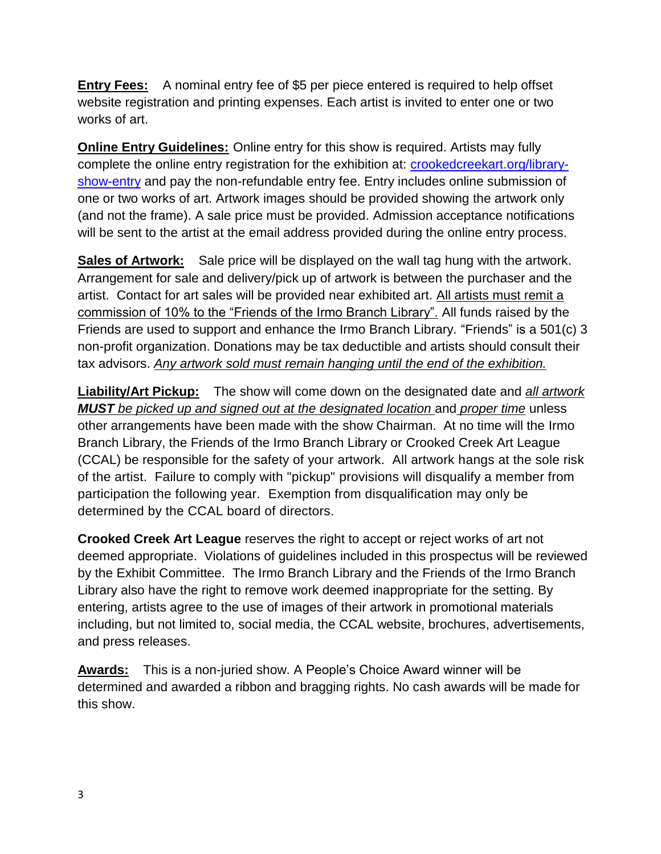**Entry Fees:** A nominal entry fee of \$5 per piece entered is required to help offset website registration and printing expenses. Each artist is invited to enter one or two works of art.

**Online Entry Guidelines:** Online entry for this show is required. Artists may fully complete the online entry registration for the exhibition at: [crookedcreekart.org/library](crookedcreekart.org/library-show-entry)[show-entry](crookedcreekart.org/library-show-entry) and pay the non-refundable entry fee. Entry includes online submission of one or two works of art. Artwork images should be provided showing the artwork only (and not the frame). A sale price must be provided. Admission acceptance notifications will be sent to the artist at the email address provided during the online entry process.

**Sales of Artwork:** Sale price will be displayed on the wall tag hung with the artwork. Arrangement for sale and delivery/pick up of artwork is between the purchaser and the artist. Contact for art sales will be provided near exhibited art. All artists must remit a commission of 10% to the "Friends of the Irmo Branch Library". All funds raised by the Friends are used to support and enhance the Irmo Branch Library. "Friends" is a 501(c) 3 non-profit organization. Donations may be tax deductible and artists should consult their tax advisors. *Any artwork sold must remain hanging until the end of the exhibition.*

**Liability/Art Pickup:** The show will come down on the designated date and *all artwork MUST* be picked up and signed out at the designated location and proper time unless other arrangements have been made with the show Chairman. At no time will the Irmo Branch Library, the Friends of the Irmo Branch Library or Crooked Creek Art League (CCAL) be responsible for the safety of your artwork. All artwork hangs at the sole risk of the artist. Failure to comply with "pickup" provisions will disqualify a member from participation the following year. Exemption from disqualification may only be determined by the CCAL board of directors.

**Crooked Creek Art League** reserves the right to accept or reject works of art not deemed appropriate. Violations of guidelines included in this prospectus will be reviewed by the Exhibit Committee. The Irmo Branch Library and the Friends of the Irmo Branch Library also have the right to remove work deemed inappropriate for the setting. By entering, artists agree to the use of images of their artwork in promotional materials including, but not limited to, social media, the CCAL website, brochures, advertisements, and press releases.

**Awards:** This is a non-juried show. A People's Choice Award winner will be determined and awarded a ribbon and bragging rights. No cash awards will be made for this show.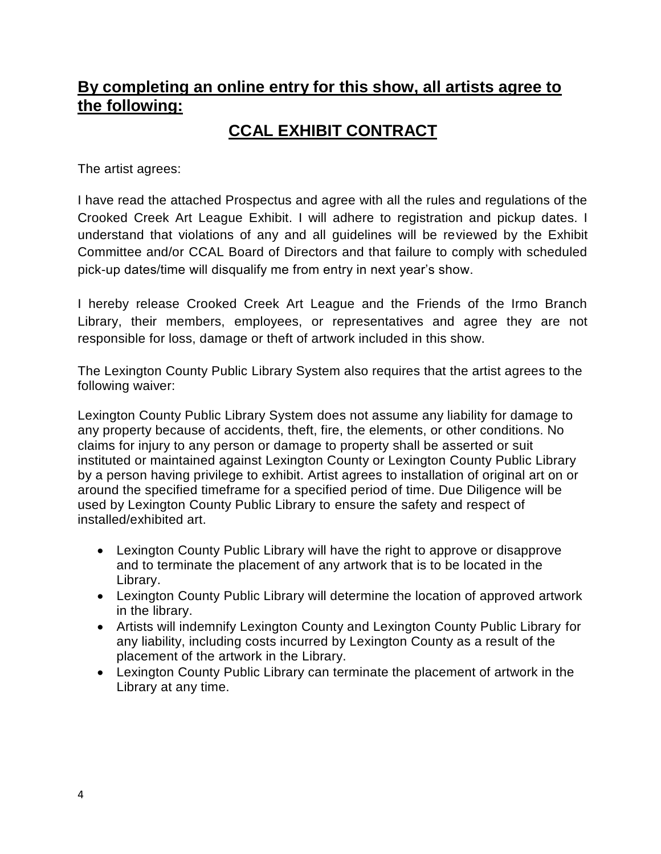### **By completing an online entry for this show, all artists agree to the following:**

### **CCAL EXHIBIT CONTRACT**

The artist agrees:

I have read the attached Prospectus and agree with all the rules and regulations of the Crooked Creek Art League Exhibit. I will adhere to registration and pickup dates. I understand that violations of any and all guidelines will be reviewed by the Exhibit Committee and/or CCAL Board of Directors and that failure to comply with scheduled pick-up dates/time will disqualify me from entry in next year's show.

I hereby release Crooked Creek Art League and the Friends of the Irmo Branch Library, their members, employees, or representatives and agree they are not responsible for loss, damage or theft of artwork included in this show.

The Lexington County Public Library System also requires that the artist agrees to the following waiver:

Lexington County Public Library System does not assume any liability for damage to any property because of accidents, theft, fire, the elements, or other conditions. No claims for injury to any person or damage to property shall be asserted or suit instituted or maintained against Lexington County or Lexington County Public Library by a person having privilege to exhibit. Artist agrees to installation of original art on or around the specified timeframe for a specified period of time. Due Diligence will be used by Lexington County Public Library to ensure the safety and respect of installed/exhibited art.

- Lexington County Public Library will have the right to approve or disapprove and to terminate the placement of any artwork that is to be located in the Library.
- Lexington County Public Library will determine the location of approved artwork in the library.
- Artists will indemnify Lexington County and Lexington County Public Library for any liability, including costs incurred by Lexington County as a result of the placement of the artwork in the Library.
- Lexington County Public Library can terminate the placement of artwork in the Library at any time.